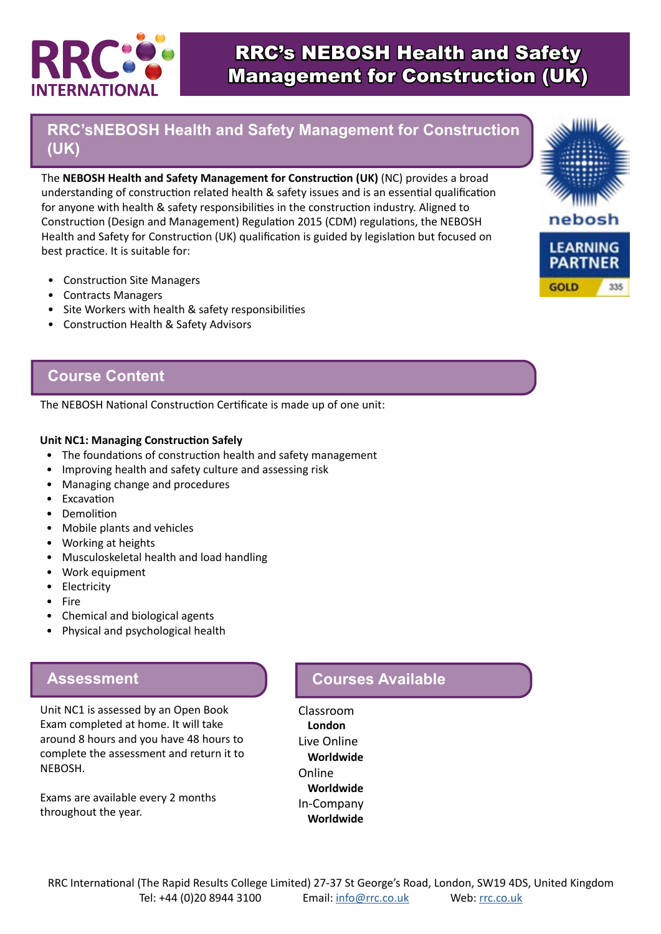

# RRC's NEBOSH Health and Safety Management for Construction (UK)

## **RRC'sNEBOSH Health and Safety Management for Construction (UK)**

The **NEBOSH Health and Safety Management for Construction (UK)** (NC) provides a broad understanding of construction related health & safety issues and is an essential qualification for anyone with health & safety responsibilities in the construction industry. Aligned to Construction (Design and Management) Regulation 2015 (CDM) regulations, the NEBOSH Health and Safety for Construction (UK) qualification is guided by legislation but focused on best practice. It is suitable for:

- Construction Site Managers
- Contracts Managers
- Site Workers with health & safety responsibilities
- Construction Health & Safety Advisors

### **Course Content**

The NEBOSH National Construction Certificate is made up of one unit:

#### **Unit NC1: Managing Construction Safely**

- The foundations of construction health and safety management
- Improving health and safety culture and assessing risk
- Managing change and procedures
- Excavation
- Demolition
- Mobile plants and vehicles
- Working at heights
- Musculoskeletal health and load handling
- Work equipment
- Electricity
- Fire
- Chemical and biological agents
- Physical and psychological health

### **Assessment**

Unit NC1 is assessed by an Open Book Exam completed at home. It will take around 8 hours and you have 48 hours to complete the assessment and return it to NEBOSH.

Exams are available every 2 months throughout the year.

### **Courses Available**

Classroom **London** Live Online **Worldwide** Online **Worldwide** In-Company **Worldwide**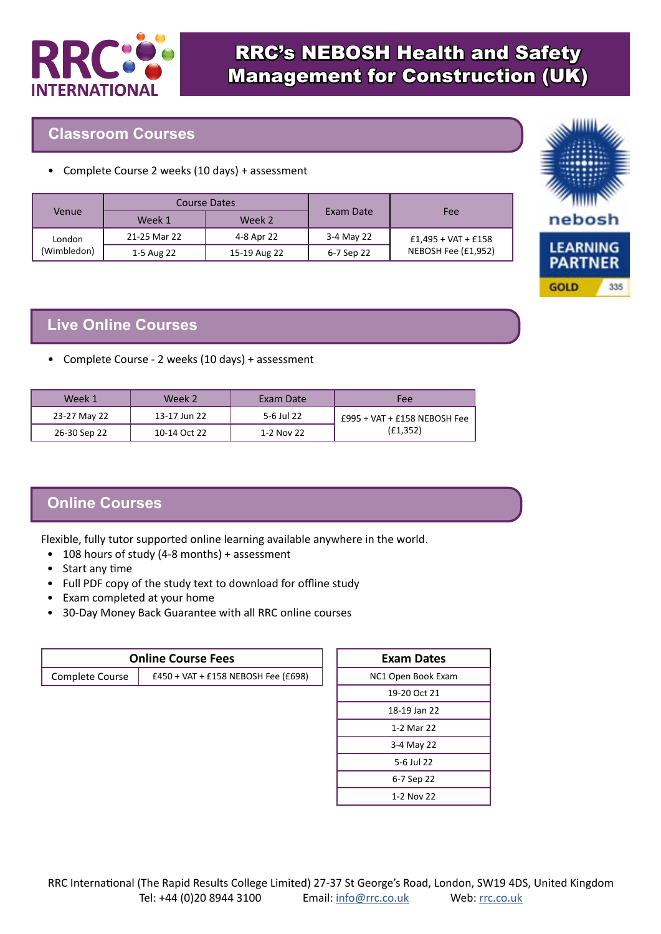

#### **Classroom Courses**

• Complete Course 2 weeks (10 days) + assessment

| Venue       | Course Dates |              |            |                       |
|-------------|--------------|--------------|------------|-----------------------|
|             | Week 1       | Week 2       | Exam Date  | Fee                   |
| London      | 21-25 Mar 22 | 4-8 Apr 22   | 3-4 May 22 | $£1,495 + VAT + £158$ |
| (Wimbledon) | 1-5 Aug 22   | 15-19 Aug 22 | 6-7 Sep 22 | NEBOSH Fee (£1,952)   |



• Complete Course - 2 weeks (10 days) + assessment

| Week 1       | Week 2       | Exam Date  | Fee                             |
|--------------|--------------|------------|---------------------------------|
| 23-27 May 22 | 13-17 Jun 22 | 5-6 Jul 22 | $E995 + VAT + E158 NEBOSH Free$ |
| 26-30 Sep 22 | 10-14 Oct 22 | 1-2 Nov 22 | (E1, 352)                       |

## **Online Courses**

Flexible, fully tutor supported online learning available anywhere in the world.

- 108 hours of study (4-8 months) + assessment
- Start any time
- Full PDF copy of the study text to download for offline study
- Exam completed at your home
- 30-Day Money Back Guarantee with all RRC online courses

| <b>Online Course Fees</b> |                                     |  |
|---------------------------|-------------------------------------|--|
| Complete Course           | £450 + VAT + £158 NEBOSH Fee (£698) |  |

| Exam Dates         |  |  |
|--------------------|--|--|
| NC1 Open Book Exam |  |  |
| 19-20 Oct 21       |  |  |
| 18-19 Jan 22       |  |  |
| 1-2 Mar 22         |  |  |
| 3-4 May 22         |  |  |
| 5-6 Jul 22         |  |  |
| 6-7 Sep 22         |  |  |
| 1-2 Nov 22         |  |  |